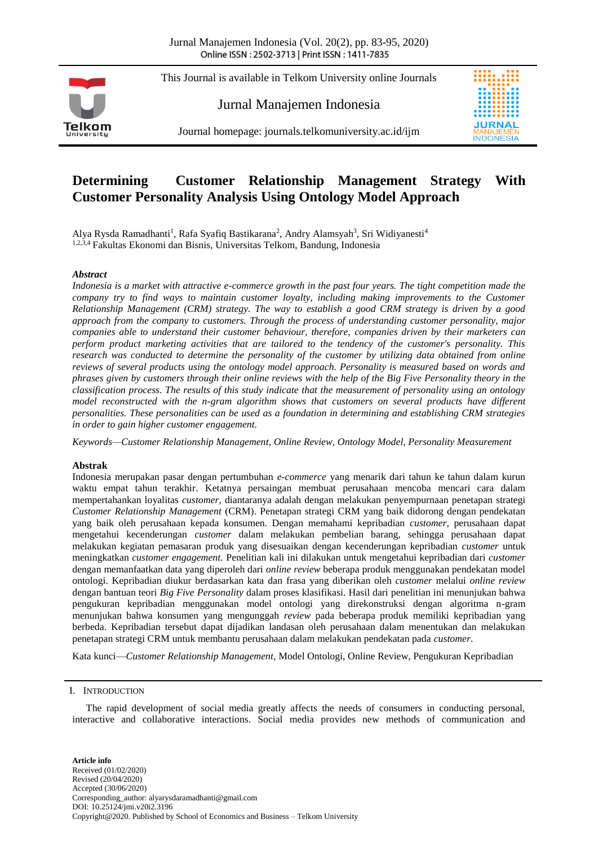This Journal is available in Telkom University online Journals

Jurnal Manajemen Indonesia



Journal homepage: journals.telkomuniversity.ac.id/ijm

# **Determining Customer Relationship Management Strategy With Customer Personality Analysis Using Ontology Model Approach**

Alya Rysda Ramadhanti<sup>1</sup>, Rafa Syafiq Bastikarana<sup>2</sup>, Andry Alamsyah<sup>3</sup>, Sri Widiyanesti<sup>4</sup> 1,2,3,4 Fakultas Ekonomi dan Bisnis, Universitas Telkom, Bandung, Indonesia

# *Abstract*

*Indonesia is a market with attractive e-commerce growth in the past four years. The tight competition made the company try to find ways to maintain customer loyalty, including making improvements to the Customer Relationship Management (CRM) strategy. The way to establish a good CRM strategy is driven by a good approach from the company to customers. Through the process of understanding customer personality, major companies able to understand their customer behaviour, therefore, companies driven by their marketers can perform product marketing activities that are tailored to the tendency of the customer's personality. This research was conducted to determine the personality of the customer by utilizing data obtained from online reviews of several products using the ontology model approach. Personality is measured based on words and phrases given by customers through their online reviews with the help of the Big Five Personality theory in the classification process. The results of this study indicate that the measurement of personality using an ontology model reconstructed with the n-gram algorithm shows that customers on several products have different personalities. These personalities can be used as a foundation in determining and establishing CRM strategies in order to gain higher customer engagement.*

*Keywords—Customer Relationship Management, Online Review, Ontology Model, Personality Measurement*

#### **Abstrak**

Indonesia merupakan pasar dengan pertumbuhan *e-commerce* yang menarik dari tahun ke tahun dalam kurun waktu empat tahun terakhir. Ketatnya persaingan membuat perusahaan mencoba mencari cara dalam mempertahankan loyalitas *customer*, diantaranya adalah dengan melakukan penyempurnaan penetapan strategi *Customer Relationship Management* (CRM). Penetapan strategi CRM yang baik didorong dengan pendekatan yang baik oleh perusahaan kepada konsumen. Dengan memahami kepribadian *customer*, perusahaan dapat mengetahui kecenderungan *customer* dalam melakukan pembelian barang, sehingga perusahaan dapat melakukan kegiatan pemasaran produk yang disesuaikan dengan kecenderungan kepribadian *customer* untuk meningkatkan *customer engagement.* Penelitian kali ini dilakukan untuk mengetahui kepribadian dari *customer* dengan memanfaatkan data yang diperoleh dari *online review* beberapa produk menggunakan pendekatan model ontologi. Kepribadian diukur berdasarkan kata dan frasa yang diberikan oleh *customer* melalui *online review* dengan bantuan teori *Big Five Personality* dalam proses klasifikasi. Hasil dari penelitian ini menunjukan bahwa pengukuran kepribadian menggunakan model ontologi yang direkonstruksi dengan algoritma n-gram menunjukan bahwa konsumen yang mengunggah *review* pada beberapa produk memiliki kepribadian yang berbeda. Kepribadian tersebut dapat dijadikan landasan oleh perusahaan dalam menentukan dan melakukan penetapan strategi CRM untuk membantu perusahaan dalam melakukan pendekatan pada *customer*.

Kata kunci—*Customer Relationship Management*, Model Ontologi, Online Review, Pengukuran Kepribadian

### I. INTRODUCTION

The rapid development of social media greatly affects the needs of consumers in conducting personal, interactive and collaborative interactions. Social media provides new methods of communication and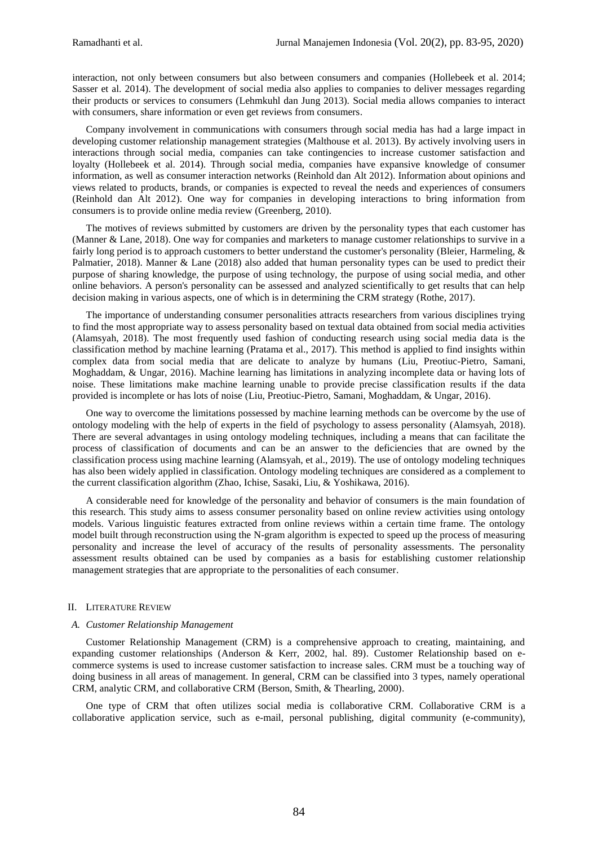interaction, not only between consumers but also between consumers and companies (Hollebeek et al. 2014; Sasser et al. 2014). The development of social media also applies to companies to deliver messages regarding their products or services to consumers (Lehmkuhl dan Jung 2013). Social media allows companies to interact with consumers, share information or even get reviews from consumers.

Company involvement in communications with consumers through social media has had a large impact in developing customer relationship management strategies (Malthouse et al. 2013). By actively involving users in interactions through social media, companies can take contingencies to increase customer satisfaction and loyalty (Hollebeek et al. 2014). Through social media, companies have expansive knowledge of consumer information, as well as consumer interaction networks (Reinhold dan Alt 2012). Information about opinions and views related to products, brands, or companies is expected to reveal the needs and experiences of consumers (Reinhold dan Alt 2012). One way for companies in developing interactions to bring information from consumers is to provide online media review (Greenberg, 2010).

The motives of reviews submitted by customers are driven by the personality types that each customer has (Manner & Lane, 2018). One way for companies and marketers to manage customer relationships to survive in a fairly long period is to approach customers to better understand the customer's personality (Bleier, Harmeling, & Palmatier, 2018). Manner & Lane (2018) also added that human personality types can be used to predict their purpose of sharing knowledge, the purpose of using technology, the purpose of using social media, and other online behaviors. A person's personality can be assessed and analyzed scientifically to get results that can help decision making in various aspects, one of which is in determining the CRM strategy (Rothe, 2017).

The importance of understanding consumer personalities attracts researchers from various disciplines trying to find the most appropriate way to assess personality based on textual data obtained from social media activities (Alamsyah, 2018). The most frequently used fashion of conducting research using social media data is the classification method by machine learning (Pratama et al., 2017). This method is applied to find insights within complex data from social media that are delicate to analyze by humans (Liu, Preotiuc-Pietro, Samani, Moghaddam, & Ungar, 2016). Machine learning has limitations in analyzing incomplete data or having lots of noise. These limitations make machine learning unable to provide precise classification results if the data provided is incomplete or has lots of noise (Liu, Preotiuc-Pietro, Samani, Moghaddam, & Ungar, 2016).

One way to overcome the limitations possessed by machine learning methods can be overcome by the use of ontology modeling with the help of experts in the field of psychology to assess personality (Alamsyah, 2018). There are several advantages in using ontology modeling techniques, including a means that can facilitate the process of classification of documents and can be an answer to the deficiencies that are owned by the classification process using machine learning (Alamsyah, et al., 2019). The use of ontology modeling techniques has also been widely applied in classification. Ontology modeling techniques are considered as a complement to the current classification algorithm (Zhao, Ichise, Sasaki, Liu, & Yoshikawa, 2016).

A considerable need for knowledge of the personality and behavior of consumers is the main foundation of this research. This study aims to assess consumer personality based on online review activities using ontology models. Various linguistic features extracted from online reviews within a certain time frame. The ontology model built through reconstruction using the N-gram algorithm is expected to speed up the process of measuring personality and increase the level of accuracy of the results of personality assessments. The personality assessment results obtained can be used by companies as a basis for establishing customer relationship management strategies that are appropriate to the personalities of each consumer.

#### II. LITERATURE REVIEW

#### *A. Customer Relationship Management*

Customer Relationship Management (CRM) is a comprehensive approach to creating, maintaining, and expanding customer relationships (Anderson & Kerr, 2002, hal. 89). Customer Relationship based on ecommerce systems is used to increase customer satisfaction to increase sales. CRM must be a touching way of doing business in all areas of management. In general, CRM can be classified into 3 types, namely operational CRM, analytic CRM, and collaborative CRM (Berson, Smith, & Thearling, 2000).

One type of CRM that often utilizes social media is collaborative CRM. Collaborative CRM is a collaborative application service, such as e-mail, personal publishing, digital community (e-community),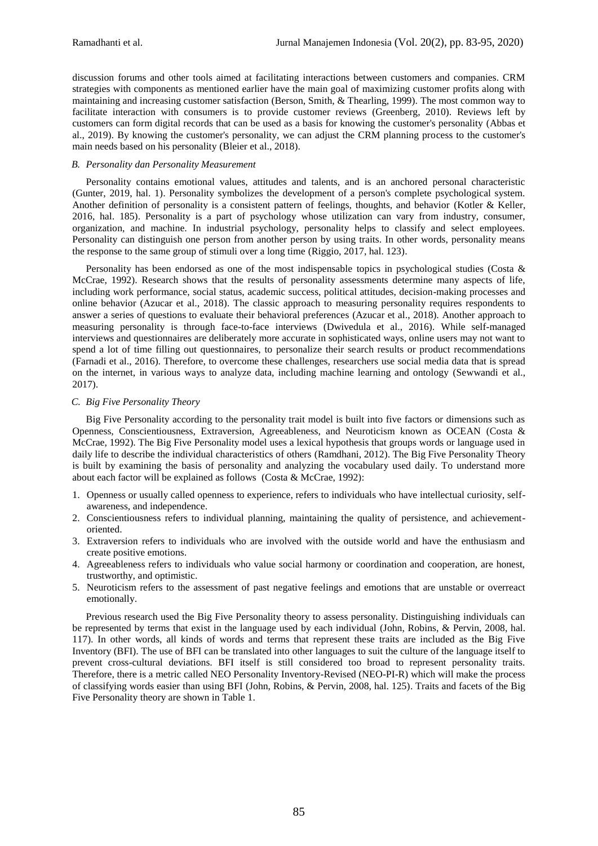discussion forums and other tools aimed at facilitating interactions between customers and companies. CRM strategies with components as mentioned earlier have the main goal of maximizing customer profits along with maintaining and increasing customer satisfaction (Berson, Smith, & Thearling, 1999). The most common way to facilitate interaction with consumers is to provide customer reviews (Greenberg, 2010). Reviews left by customers can form digital records that can be used as a basis for knowing the customer's personality (Abbas et al., 2019). By knowing the customer's personality, we can adjust the CRM planning process to the customer's main needs based on his personality (Bleier et al., 2018).

# *B. Personality dan Personality Measurement*

Personality contains emotional values, attitudes and talents, and is an anchored personal characteristic (Gunter, 2019, hal. 1). Personality symbolizes the development of a person's complete psychological system. Another definition of personality is a consistent pattern of feelings, thoughts, and behavior (Kotler & Keller, 2016, hal. 185). Personality is a part of psychology whose utilization can vary from industry, consumer, organization, and machine. In industrial psychology, personality helps to classify and select employees. Personality can distinguish one person from another person by using traits. In other words, personality means the response to the same group of stimuli over a long time (Riggio, 2017, hal. 123).

Personality has been endorsed as one of the most indispensable topics in psychological studies (Costa & McCrae, 1992). Research shows that the results of personality assessments determine many aspects of life, including work performance, social status, academic success, political attitudes, decision-making processes and online behavior (Azucar et al., 2018). The classic approach to measuring personality requires respondents to answer a series of questions to evaluate their behavioral preferences (Azucar et al., 2018). Another approach to measuring personality is through face-to-face interviews (Dwivedula et al., 2016). While self-managed interviews and questionnaires are deliberately more accurate in sophisticated ways, online users may not want to spend a lot of time filling out questionnaires, to personalize their search results or product recommendations (Farnadi et al., 2016). Therefore, to overcome these challenges, researchers use social media data that is spread on the internet, in various ways to analyze data, including machine learning and ontology (Sewwandi et al., 2017).

# *C. Big Five Personality Theory*

Big Five Personality according to the personality trait model is built into five factors or dimensions such as Openness, Conscientiousness, Extraversion, Agreeableness, and Neuroticism known as OCEAN (Costa & McCrae, 1992). The Big Five Personality model uses a lexical hypothesis that groups words or language used in daily life to describe the individual characteristics of others (Ramdhani, 2012). The Big Five Personality Theory is built by examining the basis of personality and analyzing the vocabulary used daily. To understand more about each factor will be explained as follows (Costa & McCrae, 1992):

- 1. Openness or usually called openness to experience, refers to individuals who have intellectual curiosity, selfawareness, and independence.
- 2. Conscientiousness refers to individual planning, maintaining the quality of persistence, and achievementoriented.
- 3. Extraversion refers to individuals who are involved with the outside world and have the enthusiasm and create positive emotions.
- 4. Agreeableness refers to individuals who value social harmony or coordination and cooperation, are honest, trustworthy, and optimistic.
- 5. Neuroticism refers to the assessment of past negative feelings and emotions that are unstable or overreact emotionally.

Previous research used the Big Five Personality theory to assess personality. Distinguishing individuals can be represented by terms that exist in the language used by each individual (John, Robins, & Pervin, 2008, hal. 117). In other words, all kinds of words and terms that represent these traits are included as the Big Five Inventory (BFI). The use of BFI can be translated into other languages to suit the culture of the language itself to prevent cross-cultural deviations. BFI itself is still considered too broad to represent personality traits. Therefore, there is a metric called NEO Personality Inventory-Revised (NEO-PI-R) which will make the process of classifying words easier than using BFI (John, Robins, & Pervin, 2008, hal. 125). Traits and facets of the Big Five Personality theory are shown in Table 1.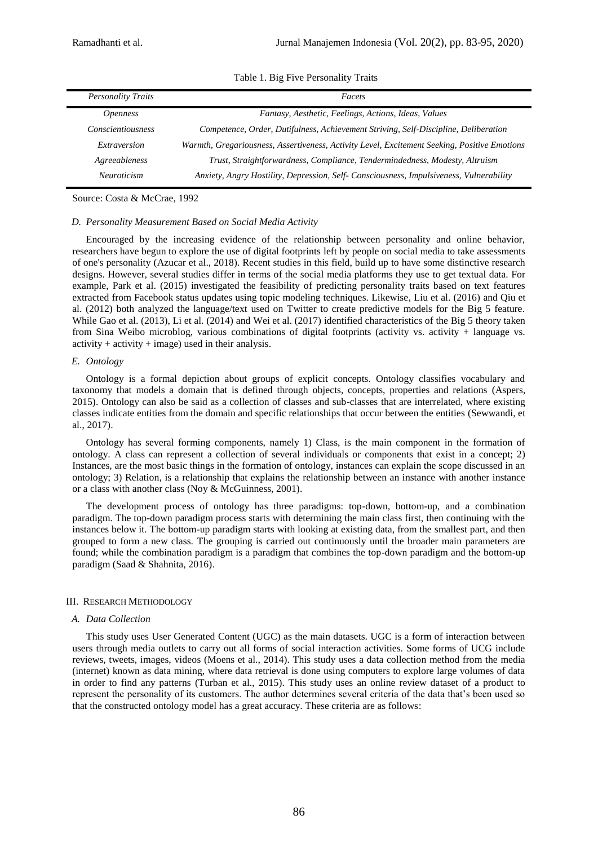| <b>Personality Traits</b> | Facets                                                                                       |
|---------------------------|----------------------------------------------------------------------------------------------|
| <i>Openness</i>           | Fantasy, Aesthetic, Feelings, Actions, Ideas, Values                                         |
| Conscientiousness         | Competence, Order, Dutifulness, Achievement Striving, Self-Discipline, Deliberation          |
| Extraversion              | Warmth, Gregariousness, Assertiveness, Activity Level, Excitement Seeking, Positive Emotions |
| Agreeableness             | Trust, Straightforwardness, Compliance, Tendermindedness, Modesty, Altruism                  |
| <i>Neuroticism</i>        | Anxiety, Angry Hostility, Depression, Self- Consciousness, Impulsiveness, Vulnerability      |

Table 1. Big Five Personality Traits

Source: Costa & McCrae, 1992

#### *D. Personality Measurement Based on Social Media Activity*

Encouraged by the increasing evidence of the relationship between personality and online behavior, researchers have begun to explore the use of digital footprints left by people on social media to take assessments of one's personality (Azucar et al., 2018). Recent studies in this field, build up to have some distinctive research designs. However, several studies differ in terms of the social media platforms they use to get textual data. For example, Park et al. (2015) investigated the feasibility of predicting personality traits based on text features extracted from Facebook status updates using topic modeling techniques. Likewise, Liu et al. (2016) and Qiu et al. (2012) both analyzed the language/text used on Twitter to create predictive models for the Big 5 feature. While Gao et al. (2013), Li et al. (2014) and Wei et al. (2017) identified characteristics of the Big 5 theory taken from Sina Weibo microblog, various combinations of digital footprints (activity vs. activity + language vs.  $\text{activity} + \text{activity} + \text{image}$ ) used in their analysis.

#### *E. Ontology*

Ontology is a formal depiction about groups of explicit concepts. Ontology classifies vocabulary and taxonomy that models a domain that is defined through objects, concepts, properties and relations (Aspers, 2015). Ontology can also be said as a collection of classes and sub-classes that are interrelated, where existing classes indicate entities from the domain and specific relationships that occur between the entities (Sewwandi, et al., 2017).

Ontology has several forming components, namely 1) Class, is the main component in the formation of ontology. A class can represent a collection of several individuals or components that exist in a concept; 2) Instances, are the most basic things in the formation of ontology, instances can explain the scope discussed in an ontology; 3) Relation, is a relationship that explains the relationship between an instance with another instance or a class with another class (Noy & McGuinness, 2001).

The development process of ontology has three paradigms: top-down, bottom-up, and a combination paradigm. The top-down paradigm process starts with determining the main class first, then continuing with the instances below it. The bottom-up paradigm starts with looking at existing data, from the smallest part, and then grouped to form a new class. The grouping is carried out continuously until the broader main parameters are found; while the combination paradigm is a paradigm that combines the top-down paradigm and the bottom-up paradigm (Saad & Shahnita, 2016).

#### III. RESEARCH METHODOLOGY

#### *A. Data Collection*

This study uses User Generated Content (UGC) as the main datasets. UGC is a form of interaction between users through media outlets to carry out all forms of social interaction activities. Some forms of UCG include reviews, tweets, images, videos (Moens et al., 2014). This study uses a data collection method from the media (internet) known as data mining, where data retrieval is done using computers to explore large volumes of data in order to find any patterns (Turban et al., 2015). This study uses an online review dataset of a product to represent the personality of its customers. The author determines several criteria of the data that's been used so that the constructed ontology model has a great accuracy. These criteria are as follows: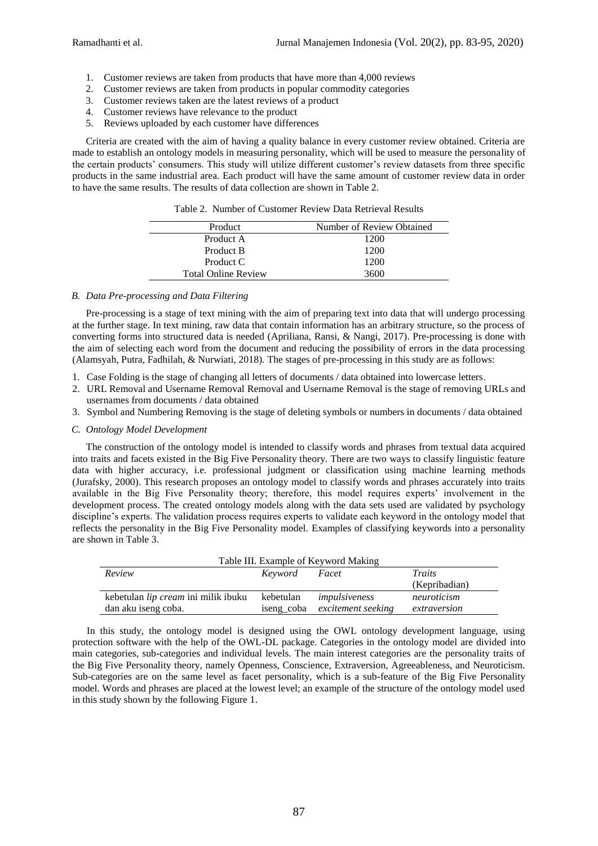- 1. Customer reviews are taken from products that have more than 4,000 reviews
- 2. Customer reviews are taken from products in popular commodity categories
- 3. Customer reviews taken are the latest reviews of a product
- 4. Customer reviews have relevance to the product
- 5. Reviews uploaded by each customer have differences

Criteria are created with the aim of having a quality balance in every customer review obtained. Criteria are made to establish an ontology models in measuring personality, which will be used to measure the personality of the certain products' consumers. This study will utilize different customer's review datasets from three specific products in the same industrial area. Each product will have the same amount of customer review data in order to have the same results. The results of data collection are shown in Table 2.

| Table 2. Number of Customer Review Data Retrieval Results |  |  |  |
|-----------------------------------------------------------|--|--|--|
|                                                           |  |  |  |

| Number of Review Obtained |
|---------------------------|
| 1200                      |
| 1200                      |
| 1200                      |
| 3600                      |
|                           |

# *B. Data Pre-processing and Data Filtering*

Pre-processing is a stage of text mining with the aim of preparing text into data that will undergo processing at the further stage. In text mining, raw data that contain information has an arbitrary structure, so the process of converting forms into structured data is needed (Apriliana, Ransi, & Nangi, 2017). Pre-processing is done with the aim of selecting each word from the document and reducing the possibility of errors in the data processing (Alamsyah, Putra, Fadhilah, & Nurwiati, 2018). The stages of pre-processing in this study are as follows:

- 1. Case Folding is the stage of changing all letters of documents / data obtained into lowercase letters.
- 2. URL Removal and Username Removal Removal and Username Removal is the stage of removing URLs and usernames from documents / data obtained
- 3. Symbol and Numbering Removing is the stage of deleting symbols or numbers in documents / data obtained

#### *C. Ontology Model Development*

The construction of the ontology model is intended to classify words and phrases from textual data acquired into traits and facets existed in the Big Five Personality theory. There are two ways to classify linguistic feature data with higher accuracy, i.e. professional judgment or classification using machine learning methods (Jurafsky, 2000). This research proposes an ontology model to classify words and phrases accurately into traits available in the Big Five Personality theory; therefore, this model requires experts' involvement in the development process. The created ontology models along with the data sets used are validated by psychology discipline's experts. The validation process requires experts to validate each keyword in the ontology model that reflects the personality in the Big Five Personality model. Examples of classifying keywords into a personality are shown in Table 3.

| Table III. Example of Keyword Making |            |                    |               |  |  |
|--------------------------------------|------------|--------------------|---------------|--|--|
| Review<br>Traits<br>Keyword<br>Facet |            |                    |               |  |  |
|                                      |            |                    | (Kepribadian) |  |  |
| kebetulan lip cream ini milik ibuku  | kebetulan  | impulsiveness      | neuroticism   |  |  |
| dan aku iseng coba.                  | iseng_coba | excitement seeking | extraversion  |  |  |

In this study, the ontology model is designed using the OWL ontology development language, using protection software with the help of the OWL-DL package. Categories in the ontology model are divided into main categories, sub-categories and individual levels. The main interest categories are the personality traits of the Big Five Personality theory, namely Openness, Conscience, Extraversion, Agreeableness, and Neuroticism. Sub-categories are on the same level as facet personality, which is a sub-feature of the Big Five Personality model. Words and phrases are placed at the lowest level; an example of the structure of the ontology model used in this study shown by the following Figure 1.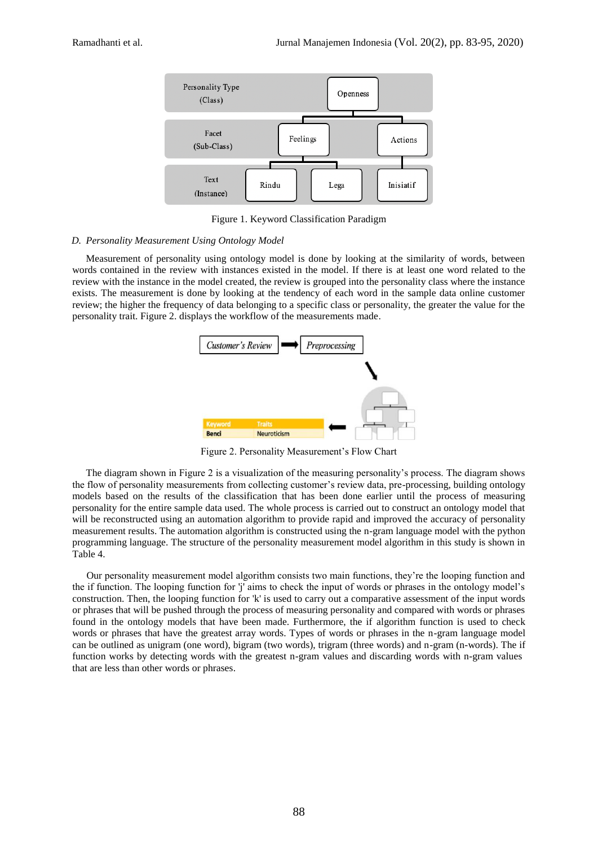

Figure 1. Keyword Classification Paradigm

# *D. Personality Measurement Using Ontology Model*

Measurement of personality using ontology model is done by looking at the similarity of words, between words contained in the review with instances existed in the model. If there is at least one word related to the review with the instance in the model created, the review is grouped into the personality class where the instance exists. The measurement is done by looking at the tendency of each word in the sample data online customer review; the higher the frequency of data belonging to a specific class or personality, the greater the value for the personality trait. Figure 2. displays the workflow of the measurements made.



Figure 2. Personality Measurement's Flow Chart

The diagram shown in Figure 2 is a visualization of the measuring personality's process. The diagram shows the flow of personality measurements from collecting customer's review data, pre-processing, building ontology models based on the results of the classification that has been done earlier until the process of measuring personality for the entire sample data used. The whole process is carried out to construct an ontology model that will be reconstructed using an automation algorithm to provide rapid and improved the accuracy of personality measurement results. The automation algorithm is constructed using the n-gram language model with the python programming language. The structure of the personality measurement model algorithm in this study is shown in Table 4.

Our personality measurement model algorithm consists two main functions, they're the looping function and the if function. The looping function for 'j' aims to check the input of words or phrases in the ontology model's construction. Then, the looping function for 'k' is used to carry out a comparative assessment of the input words or phrases that will be pushed through the process of measuring personality and compared with words or phrases found in the ontology models that have been made. Furthermore, the if algorithm function is used to check words or phrases that have the greatest array words. Types of words or phrases in the n-gram language model can be outlined as unigram (one word), bigram (two words), trigram (three words) and n-gram (n-words). The if function works by detecting words with the greatest n-gram values and discarding words with n-gram values that are less than other words or phrases.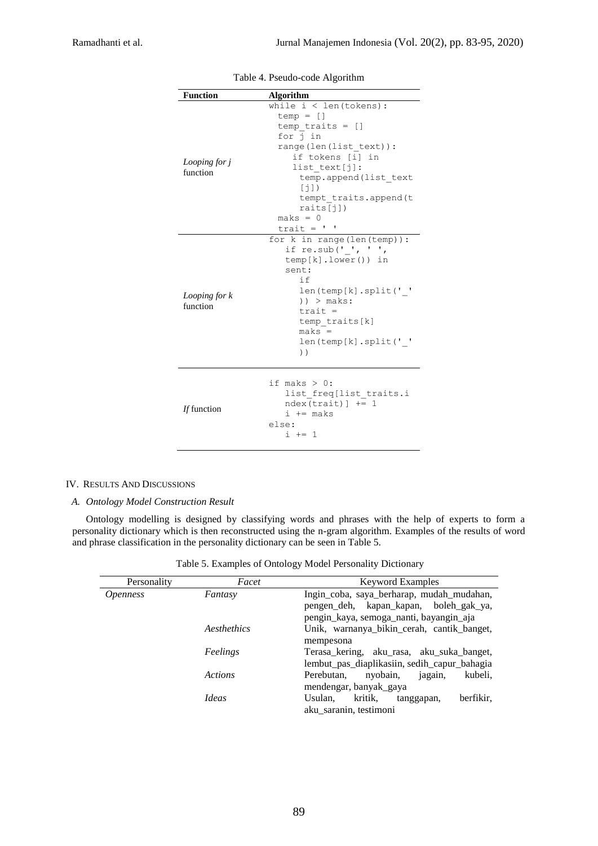| <b>Function</b>           | <b>Algorithm</b>                                                                                                                                                                                                                                             |
|---------------------------|--------------------------------------------------------------------------------------------------------------------------------------------------------------------------------------------------------------------------------------------------------------|
| Looping for j<br>function | while $i <$ len(tokens):<br>$temp = []$<br>$temp$ traits = $[]$<br>for i in<br>range(len(list text)):<br>if tokens [i] in<br>list text[j]:<br>temp.append(list text<br>[i]<br>tempt traits.append(t<br>raise([1])<br>$maks = 0$<br>$\text{trait} = \text{!}$ |
| Looping for k<br>function | for $k$ in range (len (temp)):<br>if re.sub(' ', ' ',<br>$temp[k].lower()$ ) in<br>sent:<br>i f<br>len(temp[k].split(' '<br>$)$ > maks:<br>$train =$<br>temp traits[k]<br>$maks =$<br>len(temp[k].split('')<br>$)$ )                                         |
| If function               | if maks $> 0$ :<br>list freq[list traits.i<br>$ndex(train)$ ] += 1<br>$i$ += maks<br>else:<br>$i + = 1$                                                                                                                                                      |

Table 4. Pseudo-code Algorithm

# IV. RESULTS AND DISCUSSIONS

*A. Ontology Model Construction Result*

Ontology modelling is designed by classifying words and phrases with the help of experts to form a personality dictionary which is then reconstructed using the n-gram algorithm. Examples of the results of word and phrase classification in the personality dictionary can be seen in Table 5.

Table 5. Examples of Ontology Model Personality Dictionary

| Personality     | Facet        | <b>Keyword Examples</b>                       |
|-----------------|--------------|-----------------------------------------------|
| <i>Openness</i> | Fantasy      | Ingin_coba, saya_berharap, mudah_mudahan,     |
|                 |              | pengen_deh, kapan_kapan, boleh_gak_ya,        |
|                 |              | pengin_kaya, semoga_nanti, bayangin_aja       |
|                 | Aesthethics  | Unik, warnanya_bikin_cerah, cantik_banget,    |
|                 |              | mempesona                                     |
|                 | Feelings     | Terasa_kering, aku_rasa, aku_suka_banget,     |
|                 |              | lembut_pas_diaplikasiin, sedih_capur_bahagia  |
|                 | Actions      | kubeli,<br>Perebutan,<br>nyobain,<br>jagain,  |
|                 |              | mendengar, banyak gaya                        |
|                 | <i>Ideas</i> | kritik,<br>Usulan,<br>berfikir.<br>tanggapan, |
|                 |              | aku saranin, testimoni                        |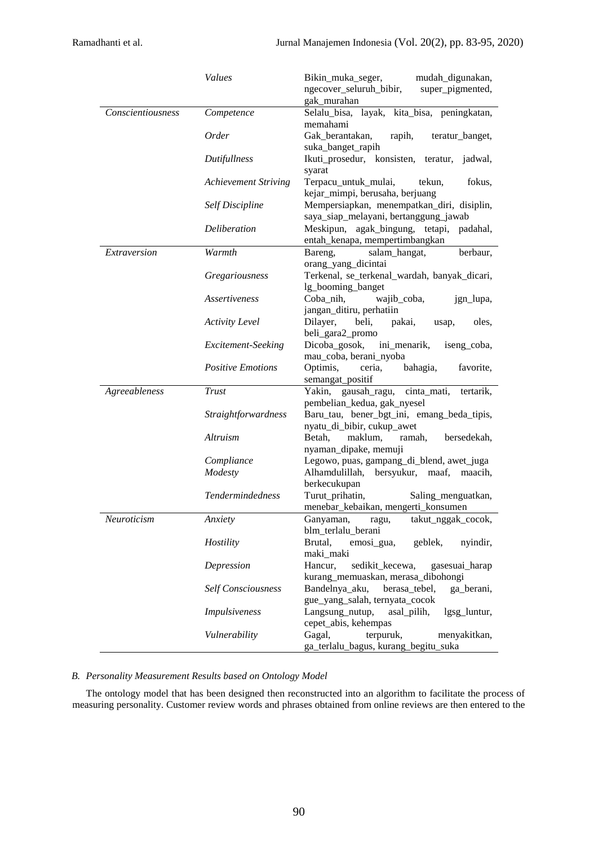|                   | <b>Values</b>               | Bikin_muka_seger,<br>mudah digunakan,                                     |
|-------------------|-----------------------------|---------------------------------------------------------------------------|
|                   |                             | super_pigmented,<br>ngecover_seluruh_bibir,                               |
|                   |                             | gak murahan                                                               |
| Conscientiousness | Competence                  | Selalu_bisa, layak, kita_bisa, peningkatan,                               |
|                   |                             | memahami                                                                  |
|                   | <i>Order</i>                | Gak berantakan,<br>rapih,<br>teratur_banget,                              |
|                   | Dutifullness                | suka_banget_rapih<br>Ikuti_prosedur, konsisten, teratur,<br>jadwal,       |
|                   |                             |                                                                           |
|                   | <b>Achievement Striving</b> | syarat<br>Terpacu_untuk_mulai,<br>fokus,<br>tekun,                        |
|                   |                             | kejar_mimpi, berusaha, berjuang                                           |
|                   | Self Discipline             | Mempersiapkan, menempatkan_diri, disiplin,                                |
|                   |                             | saya_siap_melayani, bertanggung_jawab                                     |
|                   | Deliberation                | Meskipun, agak_bingung, tetapi,<br>padahal,                               |
|                   |                             | entah_kenapa, mempertimbangkan                                            |
| Extraversion      | Warmth                      | berbaur,<br>Bareng,<br>salam_hangat,                                      |
|                   |                             | orang_yang_dicintai                                                       |
|                   | Gregariousness              | Terkenal, se_terkenal_wardah, banyak_dicari,                              |
|                   |                             | lg_booming_banget                                                         |
|                   | Assertiveness               | Coba_nih,<br>wajib_coba,<br>jgn_lupa,                                     |
|                   |                             | jangan_ditiru, perhatiin                                                  |
|                   | <b>Activity Level</b>       | Dilayer,<br>beli,<br>pakai,<br>oles,<br>usap,                             |
|                   |                             | beli_gara2_promo                                                          |
|                   | Excitement-Seeking          | Dicoba_gosok,<br>ini_menarik,<br>iseng_coba,                              |
|                   |                             | mau_coba, berani_nyoba                                                    |
|                   | <b>Positive Emotions</b>    | Optimis,<br>bahagia,<br>ceria,<br>favorite,                               |
|                   |                             | semangat_positif                                                          |
| Agreeableness     | Trust                       | Yakin, gausah_ragu,<br>cinta_mati,<br>tertarik,                           |
|                   | Straightforwardness         | pembelian_kedua, gak_nyesel<br>Baru_tau, bener_bgt_ini, emang_beda_tipis, |
|                   |                             | nyatu_di_bibir, cukup_awet                                                |
|                   | <b>Altruism</b>             | maklum,<br>Betah,<br>ramah,<br>bersedekah,                                |
|                   |                             | nyaman_dipake, memuji                                                     |
|                   | Compliance                  | Legowo, puas, gampang_di_blend, awet_juga                                 |
|                   | Modesty                     | Alhamdulillah, bersyukur, maaf, maacih,                                   |
|                   |                             | berkecukupan                                                              |
|                   | Tendermindedness            | Turut_prihatin,<br>Saling_menguatkan,                                     |
|                   |                             | menebar_kebaikan, mengerti_konsumen                                       |
| Neuroticism       | Anxiety                     | Ganyaman, ragu, takut_nggak_cocok,                                        |
|                   |                             | blm_terlalu_berani                                                        |
|                   | Hostility                   | Brutal,<br>emosi_gua,<br>geblek,<br>nyindir,                              |
|                   |                             | maki_maki                                                                 |
|                   | Depression                  | Hancur,<br>sedikit_kecewa,<br>gasesuai_harap                              |
|                   |                             | kurang_memuaskan, merasa_dibohongi                                        |
|                   | <b>Self Consciousness</b>   | Bandelnya_aku,<br>berasa_tebel,<br>ga berani,                             |
|                   |                             | gue_yang_salah, ternyata_cocok                                            |
|                   | Impulsiveness               | asal_pilih,<br>Langsung_nutup,<br>lgsg_luntur,                            |
|                   |                             |                                                                           |
|                   | Vulnerability               | cepet_abis, kehempas<br>Gagal,<br>terpuruk,<br>menyakitkan,               |

# *B. Personality Measurement Results based on Ontology Model*

The ontology model that has been designed then reconstructed into an algorithm to facilitate the process of measuring personality. Customer review words and phrases obtained from online reviews are then entered to the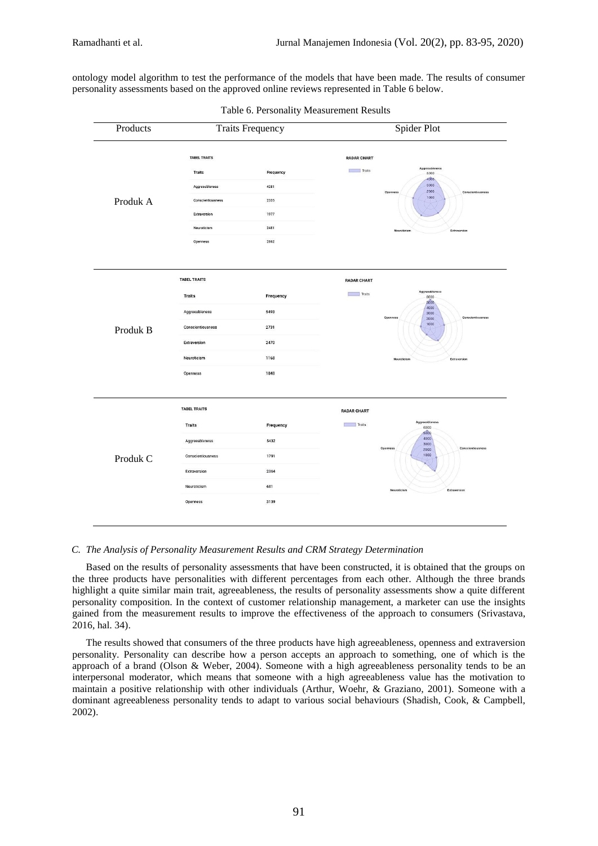ontology model algorithm to test the performance of the models that have been made. The results of consumer personality assessments based on the approved online reviews represented in Table 6 below.

| Products | <b>Traits Frequency</b>           |              | Spider Plot                                           |  |
|----------|-----------------------------------|--------------|-------------------------------------------------------|--|
|          | <b>TABEL TRAITS</b>               |              | <b>RADAR CHART</b><br>Aggreeableness                  |  |
|          | <b>Traits</b>                     | Frequency    | Traits<br>5000<br>4000                                |  |
|          | Aggreeableness                    | 4281         | 3000<br>2000<br>Conscientiousness<br>Openness<br>1000 |  |
| Produk A | Conscientiousness<br>Extraversion | 2335<br>1977 |                                                       |  |
|          | Neuroticism                       | 2481         |                                                       |  |
|          | Openness                          | 2862         | Neuroticism<br>Extraversion                           |  |
|          | <b>TABEL TRAITS</b>               |              | <b>RADAR CHART</b>                                    |  |
|          | Traits                            | Frequency    | Aggreeableness<br>Traits<br>6000<br>5000              |  |
|          | Aggreeableness                    | 5493         | 4000<br>3000<br>Conscientiousness<br>Openness<br>2000 |  |
| Produk B | Conscientiousness                 | 2731         | 1000                                                  |  |
|          | Extraversion                      | 2470         |                                                       |  |
|          | Neuroticism                       | 1168         | Neuroticism<br>Extraversion                           |  |
|          | Openness                          | 1848         |                                                       |  |
|          | <b>TABEL TRAITS</b>               |              | <b>RADAR CHART</b>                                    |  |
| Produk C | Traits                            | Frequency    | Aggreeableness<br>Traits<br>6000<br>5000              |  |
|          | Aggreeableness                    | 5432         | 4000<br>3000<br>Conscientiousness<br>Openness         |  |
|          | Conscientiousness                 | 1791         | 2000<br>1000                                          |  |
|          | Extraversion                      | 2364         |                                                       |  |
|          | Neuroticism                       | 681          | Neuroticism<br>Extraversion                           |  |
|          |                                   |              |                                                       |  |

|  | Table 6. Personality Measurement Results |  |
|--|------------------------------------------|--|
|  |                                          |  |

# *C. The Analysis of Personality Measurement Results and CRM Strategy Determination*

Based on the results of personality assessments that have been constructed, it is obtained that the groups on the three products have personalities with different percentages from each other. Although the three brands highlight a quite similar main trait, agreeableness, the results of personality assessments show a quite different personality composition. In the context of customer relationship management, a marketer can use the insights gained from the measurement results to improve the effectiveness of the approach to consumers (Srivastava, 2016, hal. 34).

The results showed that consumers of the three products have high agreeableness, openness and extraversion personality. Personality can describe how a person accepts an approach to something, one of which is the approach of a brand (Olson & Weber, 2004). Someone with a high agreeableness personality tends to be an interpersonal moderator, which means that someone with a high agreeableness value has the motivation to maintain a positive relationship with other individuals (Arthur, Woehr, & Graziano, 2001). Someone with a dominant agreeableness personality tends to adapt to various social behaviours (Shadish, Cook, & Campbell, 2002).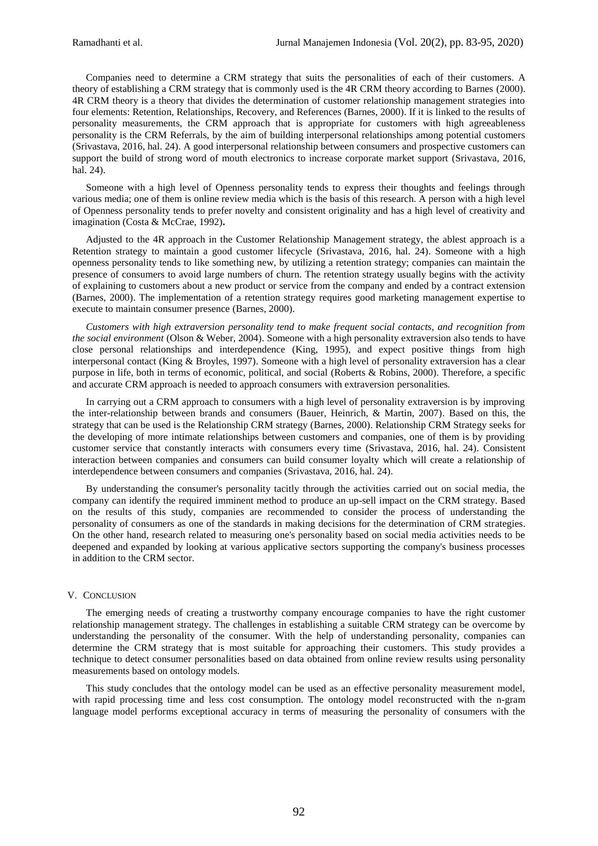Companies need to determine a CRM strategy that suits the personalities of each of their customers. A theory of establishing a CRM strategy that is commonly used is the 4R CRM theory according to Barnes (2000). 4R CRM theory is a theory that divides the determination of customer relationship management strategies into four elements: Retention, Relationships, Recovery, and References (Barnes, 2000). If it is linked to the results of personality measurements, the CRM approach that is appropriate for customers with high agreeableness personality is the CRM Referrals, by the aim of building interpersonal relationships among potential customers (Srivastava, 2016, hal. 24). A good interpersonal relationship between consumers and prospective customers can support the build of strong word of mouth electronics to increase corporate market support (Srivastava, 2016, hal. 24).

Someone with a high level of Openness personality tends to express their thoughts and feelings through various media; one of them is online review media which is the basis of this research. A person with a high level of Openness personality tends to prefer novelty and consistent originality and has a high level of creativity and imagination (Costa & McCrae, 1992)**.**

Adjusted to the 4R approach in the Customer Relationship Management strategy, the ablest approach is a Retention strategy to maintain a good customer lifecycle (Srivastava, 2016, hal. 24). Someone with a high openness personality tends to like something new, by utilizing a retention strategy; companies can maintain the presence of consumers to avoid large numbers of churn. The retention strategy usually begins with the activity of explaining to customers about a new product or service from the company and ended by a contract extension (Barnes, 2000). The implementation of a retention strategy requires good marketing management expertise to execute to maintain consumer presence (Barnes, 2000).

*Customers with high extraversion personality tend to make frequent social contacts, and recognition from the social environment* (Olson & Weber, 2004). Someone with a high personality extraversion also tends to have close personal relationships and interdependence (King, 1995), and expect positive things from high interpersonal contact (King & Broyles, 1997). Someone with a high level of personality extraversion has a clear purpose in life, both in terms of economic, political, and social (Roberts & Robins, 2000). Therefore, a specific and accurate CRM approach is needed to approach consumers with extraversion personalities*.*

In carrying out a CRM approach to consumers with a high level of personality extraversion is by improving the inter-relationship between brands and consumers (Bauer, Heinrich, & Martin, 2007). Based on this, the strategy that can be used is the Relationship CRM strategy (Barnes, 2000). Relationship CRM Strategy seeks for the developing of more intimate relationships between customers and companies, one of them is by providing customer service that constantly interacts with consumers every time (Srivastava, 2016, hal. 24). Consistent interaction between companies and consumers can build consumer loyalty which will create a relationship of interdependence between consumers and companies (Srivastava, 2016, hal. 24).

By understanding the consumer's personality tacitly through the activities carried out on social media, the company can identify the required imminent method to produce an up-sell impact on the CRM strategy. Based on the results of this study, companies are recommended to consider the process of understanding the personality of consumers as one of the standards in making decisions for the determination of CRM strategies. On the other hand, research related to measuring one's personality based on social media activities needs to be deepened and expanded by looking at various applicative sectors supporting the company's business processes in addition to the CRM sector.

#### V. CONCLUSION

The emerging needs of creating a trustworthy company encourage companies to have the right customer relationship management strategy. The challenges in establishing a suitable CRM strategy can be overcome by understanding the personality of the consumer. With the help of understanding personality, companies can determine the CRM strategy that is most suitable for approaching their customers. This study provides a technique to detect consumer personalities based on data obtained from online review results using personality measurements based on ontology models.

This study concludes that the ontology model can be used as an effective personality measurement model, with rapid processing time and less cost consumption. The ontology model reconstructed with the n-gram language model performs exceptional accuracy in terms of measuring the personality of consumers with the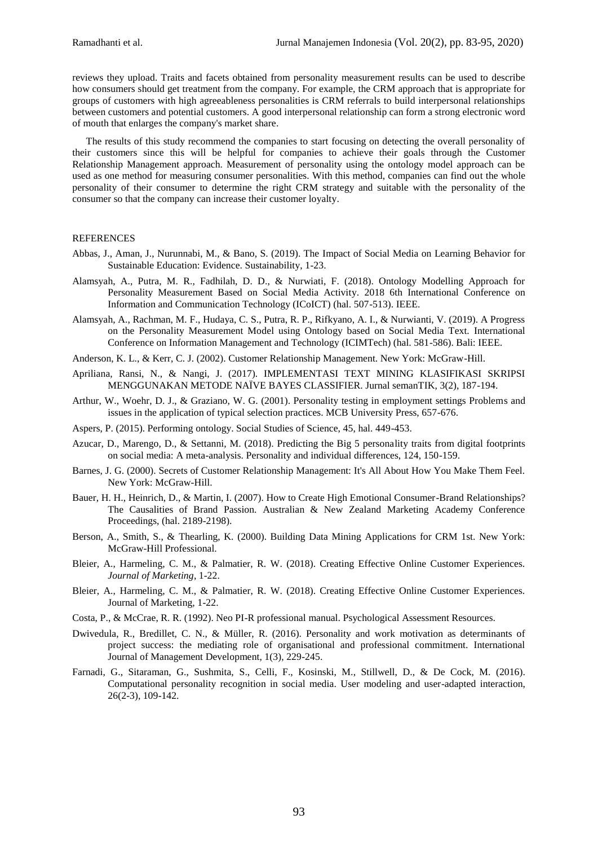reviews they upload. Traits and facets obtained from personality measurement results can be used to describe how consumers should get treatment from the company. For example, the CRM approach that is appropriate for groups of customers with high agreeableness personalities is CRM referrals to build interpersonal relationships between customers and potential customers. A good interpersonal relationship can form a strong electronic word of mouth that enlarges the company's market share.

The results of this study recommend the companies to start focusing on detecting the overall personality of their customers since this will be helpful for companies to achieve their goals through the Customer Relationship Management approach. Measurement of personality using the ontology model approach can be used as one method for measuring consumer personalities. With this method, companies can find out the whole personality of their consumer to determine the right CRM strategy and suitable with the personality of the consumer so that the company can increase their customer loyalty.

# **REFERENCES**

- Abbas, J., Aman, J., Nurunnabi, M., & Bano, S. (2019). The Impact of Social Media on Learning Behavior for Sustainable Education: Evidence. Sustainability, 1-23.
- Alamsyah, A., Putra, M. R., Fadhilah, D. D., & Nurwiati, F. (2018). Ontology Modelling Approach for Personality Measurement Based on Social Media Activity. 2018 6th International Conference on Information and Communication Technology (ICoICT) (hal. 507-513). IEEE.
- Alamsyah, A., Rachman, M. F., Hudaya, C. S., Putra, R. P., Rifkyano, A. I., & Nurwianti, V. (2019). A Progress on the Personality Measurement Model using Ontology based on Social Media Text. International Conference on Information Management and Technology (ICIMTech) (hal. 581-586). Bali: IEEE.
- Anderson, K. L., & Kerr, C. J. (2002). Customer Relationship Management. New York: McGraw-Hill.
- Apriliana, Ransi, N., & Nangi, J. (2017). IMPLEMENTASI TEXT MINING KLASIFIKASI SKRIPSI MENGGUNAKAN METODE NAÏVE BAYES CLASSIFIER. Jurnal semanTIK, 3(2), 187-194.
- Arthur, W., Woehr, D. J., & Graziano, W. G. (2001). Personality testing in employment settings Problems and issues in the application of typical selection practices. MCB University Press, 657-676.
- Aspers, P. (2015). Performing ontology. Social Studies of Science, 45, hal. 449-453.
- Azucar, D., Marengo, D., & Settanni, M. (2018). Predicting the Big 5 personality traits from digital footprints on social media: A meta-analysis. Personality and individual differences, 124, 150-159.
- Barnes, J. G. (2000). Secrets of Customer Relationship Management: It's All About How You Make Them Feel. New York: McGraw-Hill.
- Bauer, H. H., Heinrich, D., & Martin, I. (2007). How to Create High Emotional Consumer-Brand Relationships? The Causalities of Brand Passion. Australian & New Zealand Marketing Academy Conference Proceedings, (hal. 2189-2198).
- Berson, A., Smith, S., & Thearling, K. (2000). Building Data Mining Applications for CRM 1st. New York: McGraw-Hill Professional.
- Bleier, A., Harmeling, C. M., & Palmatier, R. W. (2018). Creating Effective Online Customer Experiences. *Journal of Marketing*, 1-22.
- Bleier, A., Harmeling, C. M., & Palmatier, R. W. (2018). Creating Effective Online Customer Experiences. Journal of Marketing, 1-22.
- Costa, P., & McCrae, R. R. (1992). Neo PI-R professional manual. Psychological Assessment Resources.
- Dwivedula, R., Bredillet, C. N., & Müller, R. (2016). Personality and work motivation as determinants of project success: the mediating role of organisational and professional commitment. International Journal of Management Development, 1(3), 229-245.
- Farnadi, G., Sitaraman, G., Sushmita, S., Celli, F., Kosinski, M., Stillwell, D., & De Cock, M. (2016). Computational personality recognition in social media. User modeling and user-adapted interaction, 26(2-3), 109-142.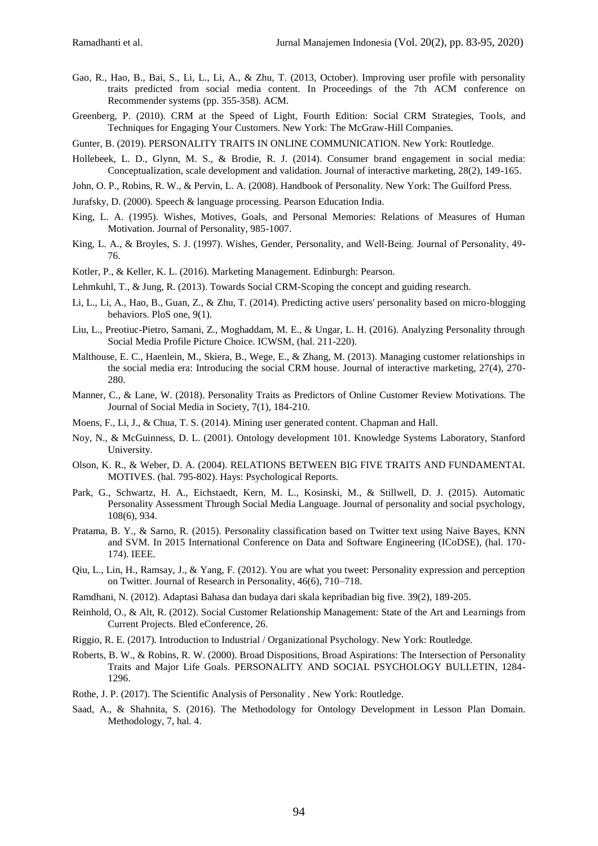- Gao, R., Hao, B., Bai, S., Li, L., Li, A., & Zhu, T. (2013, October). Improving user profile with personality traits predicted from social media content. In Proceedings of the 7th ACM conference on Recommender systems (pp. 355-358). ACM.
- Greenberg, P. (2010). CRM at the Speed of Light, Fourth Edition: Social CRM Strategies, Tools, and Techniques for Engaging Your Customers. New York: The McGraw-Hill Companies.
- Gunter, B. (2019). PERSONALITY TRAITS IN ONLINE COMMUNICATION. New York: Routledge.
- Hollebeek, L. D., Glynn, M. S., & Brodie, R. J. (2014). Consumer brand engagement in social media: Conceptualization, scale development and validation. Journal of interactive marketing, 28(2), 149-165.
- John, O. P., Robins, R. W., & Pervin, L. A. (2008). Handbook of Personality. New York: The Guilford Press.
- Jurafsky, D. (2000). Speech & language processing. Pearson Education India.
- King, L. A. (1995). Wishes, Motives, Goals, and Personal Memories: Relations of Measures of Human Motivation. Journal of Personality, 985-1007.
- King, L. A., & Broyles, S. J. (1997). Wishes, Gender, Personality, and Well-Being. Journal of Personality, 49-76.
- Kotler, P., & Keller, K. L. (2016). Marketing Management. Edinburgh: Pearson.
- Lehmkuhl, T., & Jung, R. (2013). Towards Social CRM-Scoping the concept and guiding research.
- Li, L., Li, A., Hao, B., Guan, Z., & Zhu, T. (2014). Predicting active users' personality based on micro-blogging behaviors. PloS one, 9(1).
- Liu, L., Preotiuc-Pietro, Samani, Z., Moghaddam, M. E., & Ungar, L. H. (2016). Analyzing Personality through Social Media Profile Picture Choice. ICWSM, (hal. 211-220).
- Malthouse, E. C., Haenlein, M., Skiera, B., Wege, E., & Zhang, M. (2013). Managing customer relationships in the social media era: Introducing the social CRM house. Journal of interactive marketing, 27(4), 270- 280.
- Manner, C., & Lane, W. (2018). Personality Traits as Predictors of Online Customer Review Motivations. The Journal of Social Media in Society, 7(1), 184-210.
- Moens, F., Li, J., & Chua, T. S. (2014). Mining user generated content. Chapman and Hall.
- Noy, N., & McGuinness, D. L. (2001). Ontology development 101. Knowledge Systems Laboratory, Stanford University.
- Olson, K. R., & Weber, D. A. (2004). RELATIONS BETWEEN BIG FIVE TRAITS AND FUNDAMENTAL MOTIVES. (hal. 795-802). Hays: Psychological Reports.
- Park, G., Schwartz, H. A., Eichstaedt, Kern, M. L., Kosinski, M., & Stillwell, D. J. (2015). Automatic Personality Assessment Through Social Media Language. Journal of personality and social psychology, 108(6), 934.
- Pratama, B. Y., & Sarno, R. (2015). Personality classification based on Twitter text using Naive Bayes, KNN and SVM. In 2015 International Conference on Data and Software Engineering (ICoDSE), (hal. 170- 174). IEEE.
- Qiu, L., Lin, H., Ramsay, J., & Yang, F. (2012). You are what you tweet: Personality expression and perception on Twitter. Journal of Research in Personality, 46(6), 710–718.
- Ramdhani, N. (2012). Adaptasi Bahasa dan budaya dari skala kepribadian big five. 39(2), 189-205.
- Reinhold, O., & Alt, R. (2012). Social Customer Relationship Management: State of the Art and Learnings from Current Projects. Bled eConference, 26.
- Riggio, R. E. (2017). Introduction to Industrial / Organizational Psychology. New York: Routledge.
- Roberts, B. W., & Robins, R. W. (2000). Broad Dispositions, Broad Aspirations: The Intersection of Personality Traits and Major Life Goals. PERSONALITY AND SOCIAL PSYCHOLOGY BULLETIN, 1284- 1296.
- Rothe, J. P. (2017). The Scientific Analysis of Personality . New York: Routledge.
- Saad, A., & Shahnita, S. (2016). The Methodology for Ontology Development in Lesson Plan Domain. Methodology, 7, hal. 4.